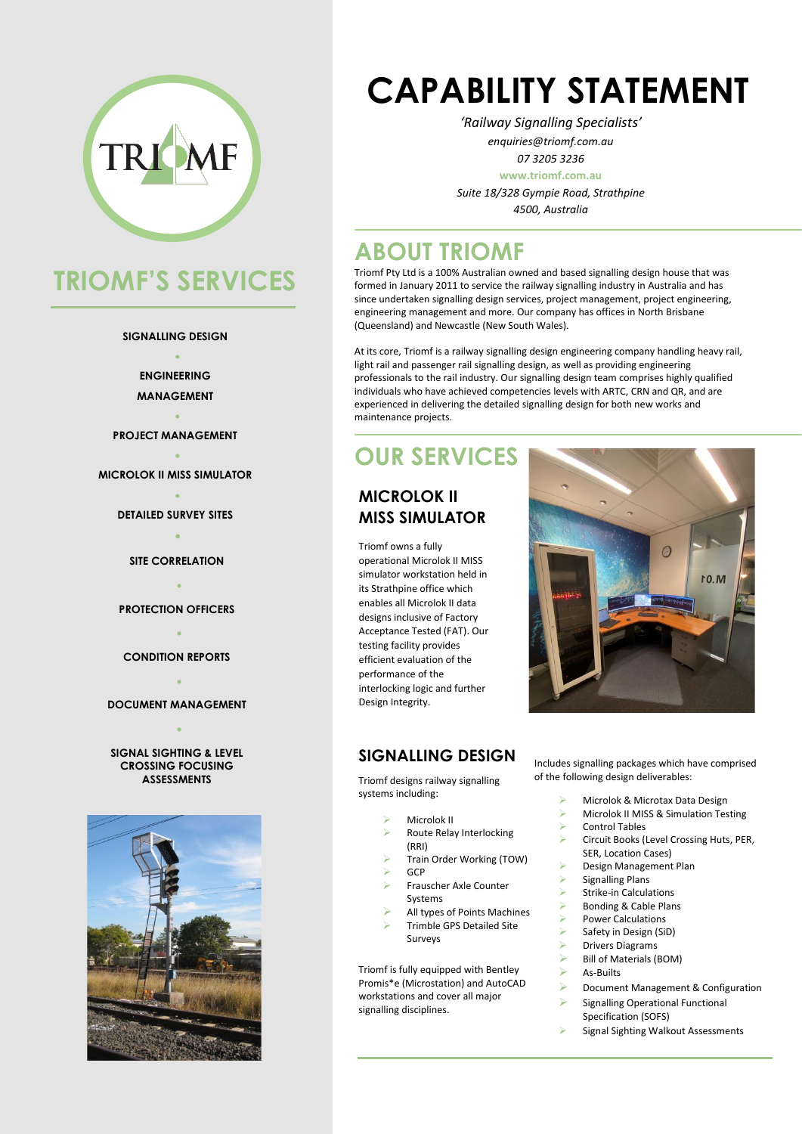

# **TRIOMF'S SERVICES**

#### **SIGNALLING DESIGN** •

**ENGINEERING MANAGEMENT**

• **PROJECT MANAGEMENT**

• **MICROLOK II MISS SIMULATOR**

> • **DETAILED SURVEY SITES** •

**SITE CORRELATION**

• **PROTECTION OFFICERS**

• **CONDITION REPORTS**

• **DOCUMENT MANAGEMENT**

•

### **SIGNAL SIGHTING & LEVEL CROSSING FOCUSING**



# **CAPABILITY STATEMENT**

*'Railway Signalling Specialists' enquiries@triomf.com.au*

> *07 3205 3236* **www.triomf.com.au**

*Suite 18/328 Gympie Road, Strathpine 4500, Australia*

### **ABOUT TRIOMF**

Triomf Pty Ltd is a 100% Australian owned and based signalling design house that was formed in January 2011 to service the railway signalling industry in Australia and has since undertaken signalling design services, project management, project engineering, engineering management and more. Our company has offices in North Brisbane (Queensland) and Newcastle (New South Wales).

At its core, Triomf is a railway signalling design engineering company handling heavy rail, light rail and passenger rail signalling design, as well as providing engineering professionals to the rail industry. Our signalling design team comprises highly qualified individuals who have achieved competencies levels with ARTC, CRN and QR, and are experienced in delivering the detailed signalling design for both new works and maintenance projects.

### **OUR SERVICES**

#### **MICROLOK II MISS SIMULATOR**

Triomf owns a fully operational Microlok II MISS simulator workstation held in its Strathpine office which enables all Microlok II data designs inclusive of Factory Acceptance Tested (FAT). Our testing facility provides efficient evaluation of the performance of the interlocking logic and further Design Integrity.



**SIGNALLING DESIGN** 

**ASSESSMENTS** Triomf designs railway signalling systems including:

- Microlok II
- ➢ Route Relay Interlocking (RRI)
- ➢ Train Order Working (TOW) ➢ GCP
- ➢ Frauscher Axle Counter
- Systems
- ➢ All types of Points Machines
- ➢ Trimble GPS Detailed Site Surveys

Triomf is fully equipped with Bentley Promis\*e (Microstation) and AutoCAD workstations and cover all major signalling disciplines.

 $\circ$ 

 $10.M$ 

Includes signalling packages which have comprised of the following design deliverables:

- ➢ Microlok & Microtax Data Design
- ➢ Microlok II MISS & Simulation Testing
- ➢ Control Tables
- ➢ Circuit Books (Level Crossing Huts, PER, SER, Location Cases)
- ➢ Design Management Plan
- Signalling Plans
- Strike-in Calculations
- ➢ Bonding & Cable Plans
- ➢ Power Calculations
- Safety in Design (SiD)
- ➢ Drivers Diagrams
- Bill of Materials (BOM)
- ➢ As-Builts
- ➢ Document Management & Configuration
- ➢ Signalling Operational Functional Specification (SOFS)
- Signal Sighting Walkout Assessments